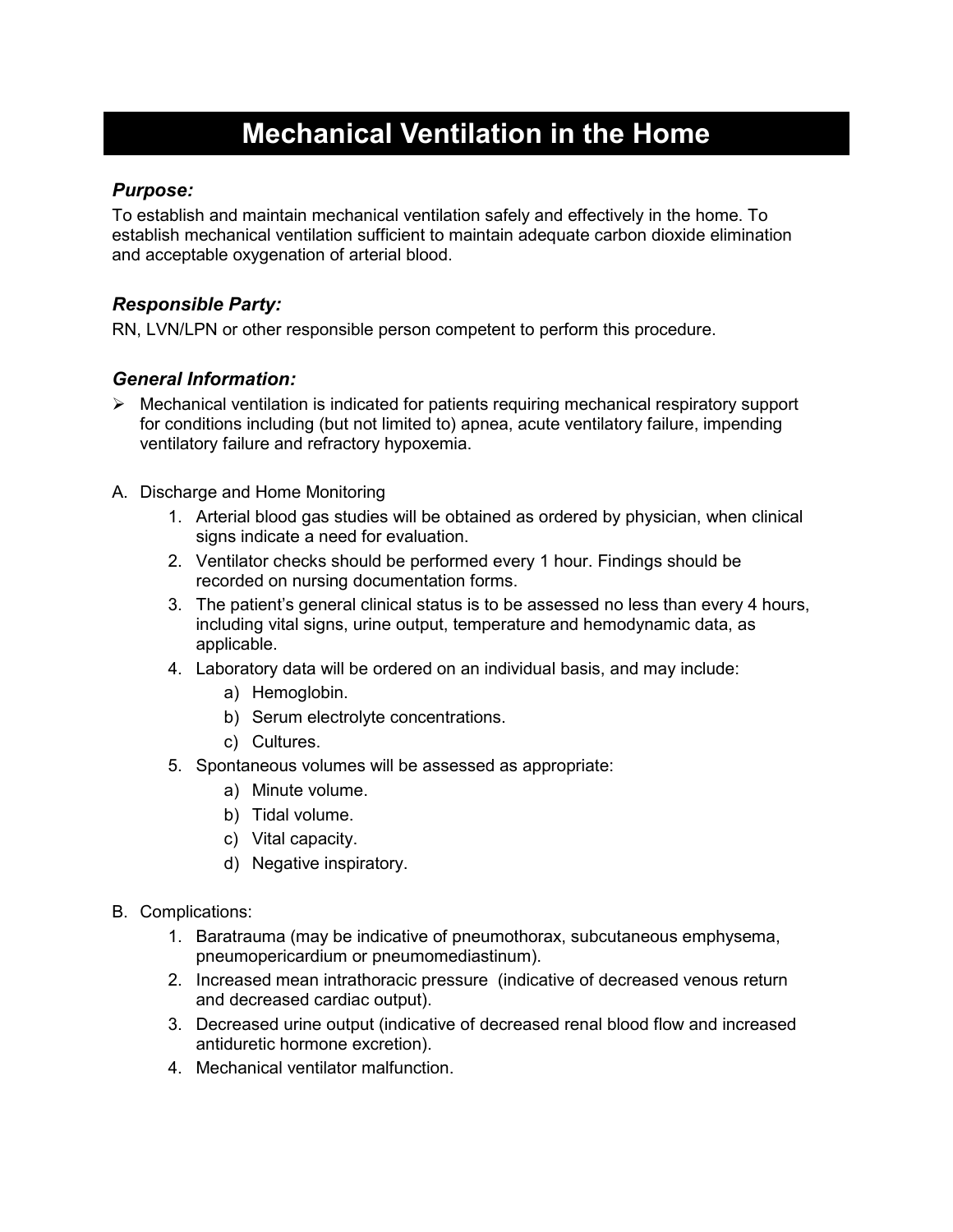# **Mechanical Ventilation in the Home**

#### *Purpose:*

To establish and maintain mechanical ventilation safely and effectively in the home. To establish mechanical ventilation sufficient to maintain adequate carbon dioxide elimination and acceptable oxygenation of arterial blood.

### *Responsible Party:*

RN, LVN/LPN or other responsible person competent to perform this procedure.

### *General Information:*

- $\triangleright$  Mechanical ventilation is indicated for patients requiring mechanical respiratory support for conditions including (but not limited to) apnea, acute ventilatory failure, impending ventilatory failure and refractory hypoxemia.
- A. Discharge and Home Monitoring
	- 1. Arterial blood gas studies will be obtained as ordered by physician, when clinical signs indicate a need for evaluation.
	- 2. Ventilator checks should be performed every 1 hour. Findings should be recorded on nursing documentation forms.
	- 3. The patient's general clinical status is to be assessed no less than every 4 hours, including vital signs, urine output, temperature and hemodynamic data, as applicable.
	- 4. Laboratory data will be ordered on an individual basis, and may include:
		- a) Hemoglobin.
		- b) Serum electrolyte concentrations.
		- c) Cultures.
	- 5. Spontaneous volumes will be assessed as appropriate:
		- a) Minute volume.
		- b) Tidal volume.
		- c) Vital capacity.
		- d) Negative inspiratory.
- B. Complications:
	- 1. Baratrauma (may be indicative of pneumothorax, subcutaneous emphysema, pneumopericardium or pneumomediastinum).
	- 2. Increased mean intrathoracic pressure (indicative of decreased venous return and decreased cardiac output).
	- 3. Decreased urine output (indicative of decreased renal blood flow and increased antiduretic hormone excretion).
	- 4. Mechanical ventilator malfunction.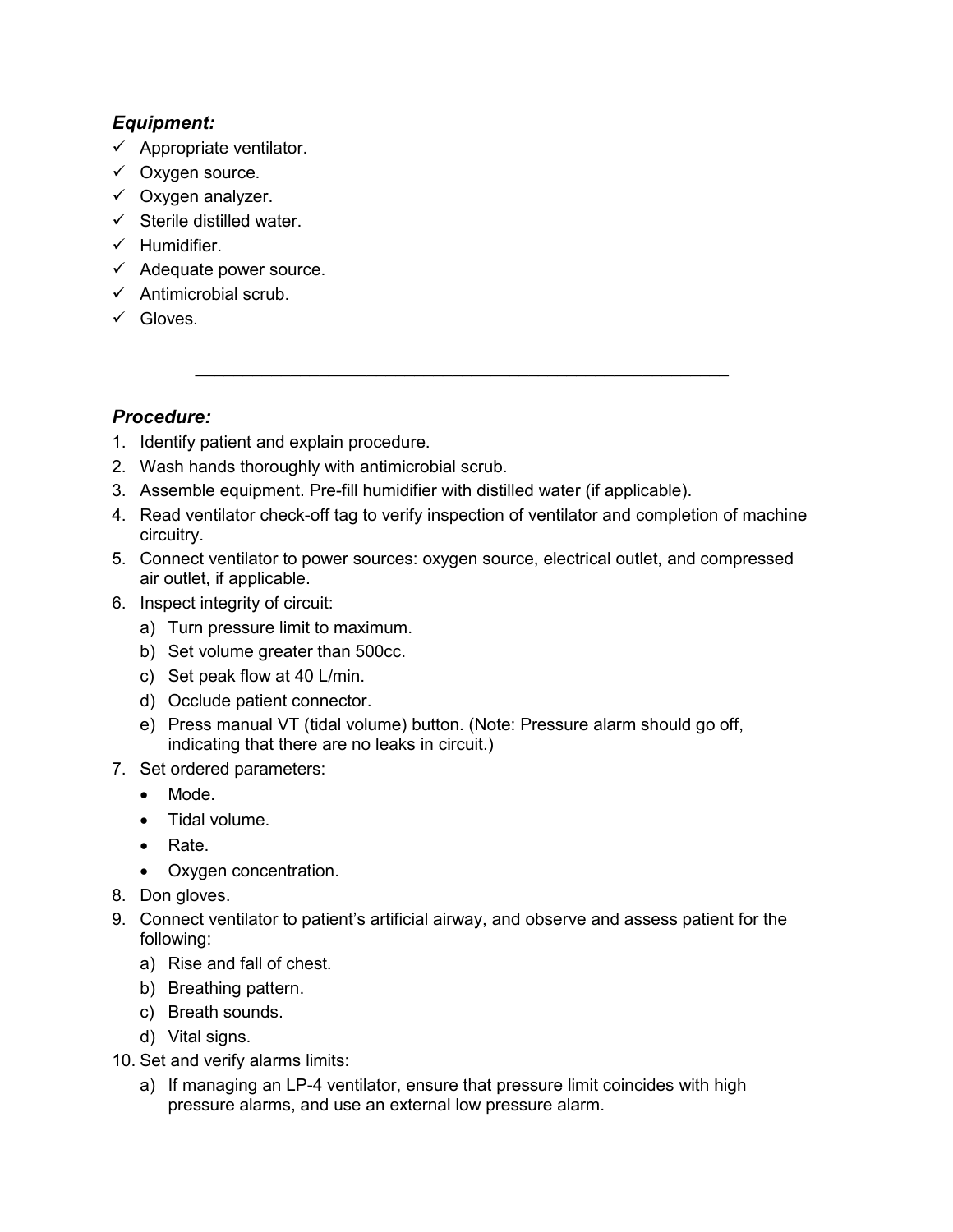#### *Equipment:*

- $\checkmark$  Appropriate ventilator.
- Oxygen source.
- Oxygen analyzer.
- $\checkmark$  Sterile distilled water.
- $\checkmark$  Humidifier.
- Adequate power source.
- $\checkmark$  Antimicrobial scrub.
- Gloves.

## *Procedure:*

- 1. Identify patient and explain procedure.
- 2. Wash hands thoroughly with antimicrobial scrub.
- 3. Assemble equipment. Pre-fill humidifier with distilled water (if applicable).
- 4. Read ventilator check-off tag to verify inspection of ventilator and completion of machine circuitry.

\_\_\_\_\_\_\_\_\_\_\_\_\_\_\_\_\_\_\_\_\_\_\_\_\_\_\_\_\_\_\_\_\_\_\_\_\_\_\_\_\_\_\_\_\_\_\_\_\_\_\_\_\_\_\_\_

- 5. Connect ventilator to power sources: oxygen source, electrical outlet, and compressed air outlet, if applicable.
- 6. Inspect integrity of circuit:
	- a) Turn pressure limit to maximum.
	- b) Set volume greater than 500cc.
	- c) Set peak flow at 40 L/min.
	- d) Occlude patient connector.
	- e) Press manual VT (tidal volume) button. (Note: Pressure alarm should go off, indicating that there are no leaks in circuit.)
- 7. Set ordered parameters:
	- Mode.
	- Tidal volume.
	- Rate.
	- Oxygen concentration.
- 8. Don gloves.
- 9. Connect ventilator to patient's artificial airway, and observe and assess patient for the following:
	- a) Rise and fall of chest.
	- b) Breathing pattern.
	- c) Breath sounds.
	- d) Vital signs.
- 10. Set and verify alarms limits:
	- a) If managing an LP-4 ventilator, ensure that pressure limit coincides with high pressure alarms, and use an external low pressure alarm.